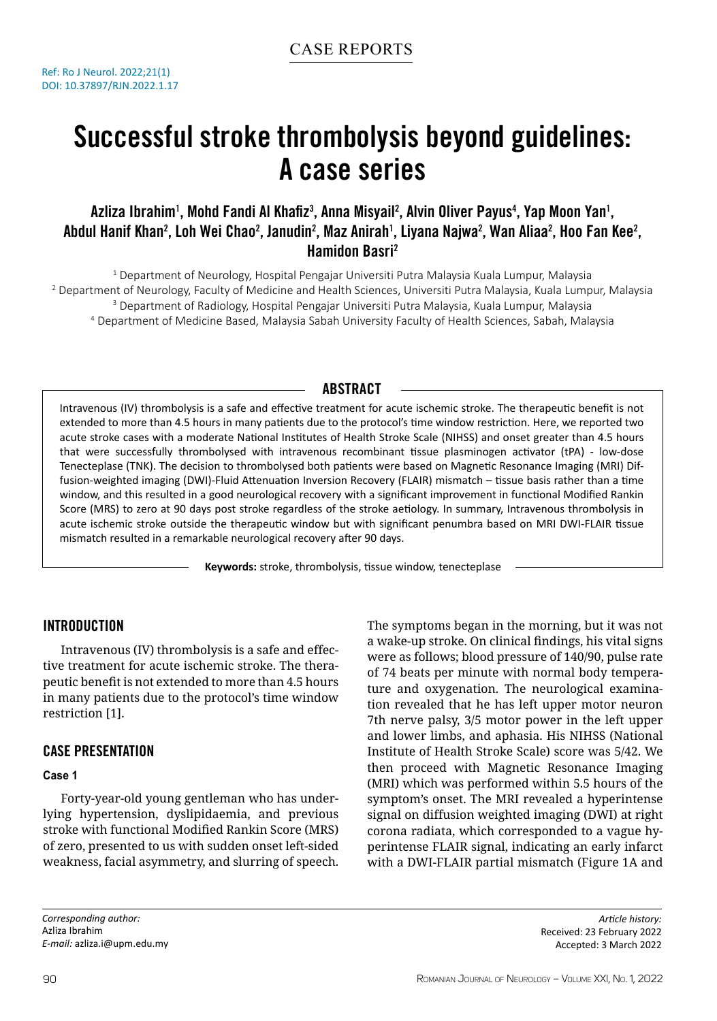# Successful stroke thrombolysis beyond guidelines: A case series

## Azliza Ibrahim<sup>1</sup>, Mohd Fandi Al Khafiz<sup>3</sup>, Anna Misyail<sup>2</sup>, Alvin Oliver Payus<sup>4</sup>, Yap Moon Yan<sup>1</sup>, Abdul Hanif Khan<sup>2</sup>, Loh Wei Chao<sup>2</sup>, Janudin<sup>2</sup>, Maz Anirah<sup>1</sup>, Liyana Najwa<sup>2</sup>, Wan Aliaa<sup>2</sup>, Hoo Fan Kee<sup>2</sup>, Hamidon Basri2

1 Department of Neurology, Hospital Pengajar Universiti Putra Malaysia Kuala Lumpur, Malaysia 2 Department of Neurology, Faculty of Medicine and Health Sciences, Universiti Putra Malaysia, Kuala Lumpur, Malaysia <sup>3</sup> Department of Radiology, Hospital Pengajar Universiti Putra Malaysia, Kuala Lumpur, Malaysia<br>4 Department of Medicine Based, Malaysia Sabah University Faculty of Health Sciences, Sabah, Mala Department of Medicine Based, Malaysia Sabah University Faculty of Health Sciences, Sabah, Malaysia

## **ABSTRACT**

Intravenous (IV) thrombolysis is a safe and effective treatment for acute ischemic stroke. The therapeutic benefit is not extended to more than 4.5 hours in many patients due to the protocol's time window restriction. Here, we reported two acute stroke cases with a moderate National Institutes of Health Stroke Scale (NIHSS) and onset greater than 4.5 hours that were successfully thrombolysed with intravenous recombinant tissue plasminogen activator (tPA) - low-dose Tenecteplase (TNK). The decision to thrombolysed both patients were based on Magnetic Resonance Imaging (MRI) Diffusion-weighted imaging (DWI)-Fluid Attenuation Inversion Recovery (FLAIR) mismatch – tissue basis rather than a time window, and this resulted in a good neurological recovery with a significant improvement in functional Modified Rankin Score (MRS) to zero at 90 days post stroke regardless of the stroke aetiology. In summary, Intravenous thrombolysis in acute ischemic stroke outside the therapeutic window but with significant penumbra based on MRI DWI-FLAIR tissue mismatch resulted in a remarkable neurological recovery after 90 days.

**Keywords:** stroke, thrombolysis, tissue window, tenecteplase

### Introduction

Intravenous (IV) thrombolysis is a safe and effective treatment for acute ischemic stroke. The therapeutic benefit is not extended to more than 4.5 hours in many patients due to the protocol's time window restriction [1].

## Case Presentation

#### **Case 1**

Forty-year-old young gentleman who has underlying hypertension, dyslipidaemia, and previous stroke with functional Modified Rankin Score (MRS) of zero, presented to us with sudden onset left-sided weakness, facial asymmetry, and slurring of speech.

*Corresponding author:* Azliza Ibrahim *E-mail:* azliza.i@upm.edu.my The symptoms began in the morning, but it was not a wake-up stroke. On clinical findings, his vital signs were as follows; blood pressure of 140/90, pulse rate of 74 beats per minute with normal body temperature and oxygenation. The neurological examination revealed that he has left upper motor neuron 7th nerve palsy, 3/5 motor power in the left upper and lower limbs, and aphasia. His NIHSS (National Institute of Health Stroke Scale) score was 5/42. We then proceed with Magnetic Resonance Imaging (MRI) which was performed within 5.5 hours of the symptom's onset. The MRI revealed a hyperintense signal on diffusion weighted imaging (DWI) at right corona radiata, which corresponded to a vague hyperintense FLAIR signal, indicating an early infarct with a DWI-FLAIR partial mismatch (Figure 1A and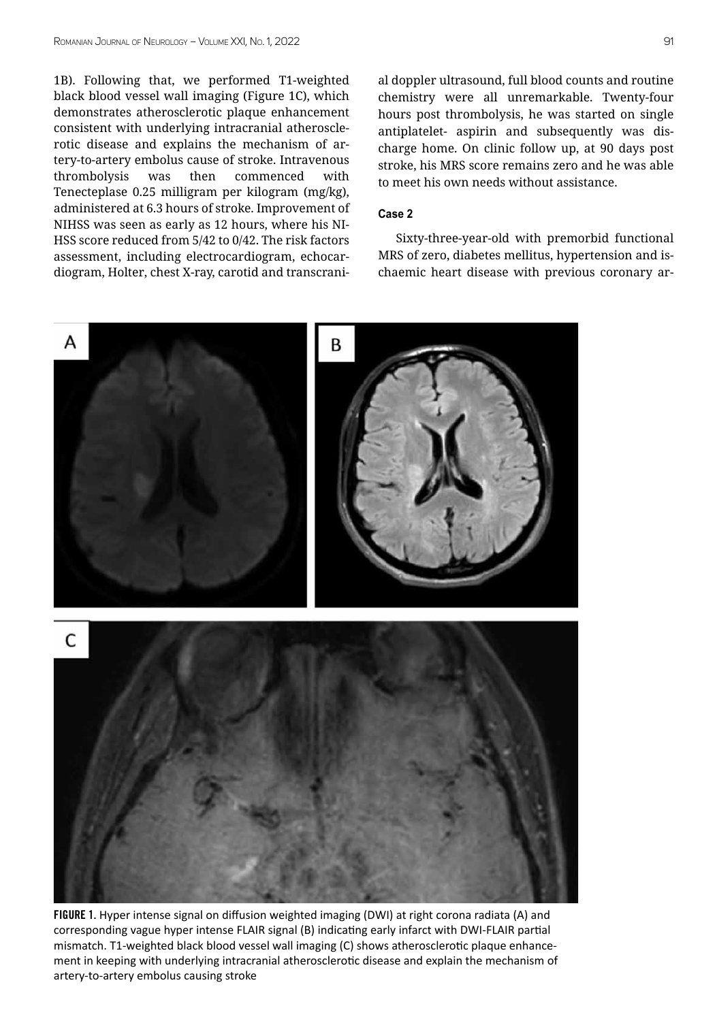1B). Following that, we performed T1-weighted black blood vessel wall imaging (Figure 1C), which demonstrates atherosclerotic plaque enhancement consistent with underlying intracranial atherosclerotic disease and explains the mechanism of artery-to-artery embolus cause of stroke. Intravenous thrombolysis was then commenced with Tenecteplase 0.25 milligram per kilogram (mg/kg), administered at 6.3 hours of stroke. Improvement of NIHSS was seen as early as 12 hours, where his NI-HSS score reduced from 5/42 to 0/42. The risk factors assessment, including electrocardiogram, echocardiogram, Holter, chest X-ray, carotid and transcranial doppler ultrasound, full blood counts and routine chemistry were all unremarkable. Twenty-four hours post thrombolysis, he was started on single antiplatelet- aspirin and subsequently was discharge home. On clinic follow up, at 90 days post stroke, his MRS score remains zero and he was able to meet his own needs without assistance.

#### **Case 2**

Sixty-three-year-old with premorbid functional MRS of zero, diabetes mellitus, hypertension and ischaemic heart disease with previous coronary ar-



FIGURE 1. Hyper intense signal on diffusion weighted imaging (DWI) at right corona radiata (A) and corresponding vague hyper intense FLAIR signal (B) indicating early infarct with DWI-FLAIR partial mismatch. T1-weighted black blood vessel wall imaging (C) shows atherosclerotic plaque enhancement in keeping with underlying intracranial atherosclerotic disease and explain the mechanism of artery-to-artery embolus causing stroke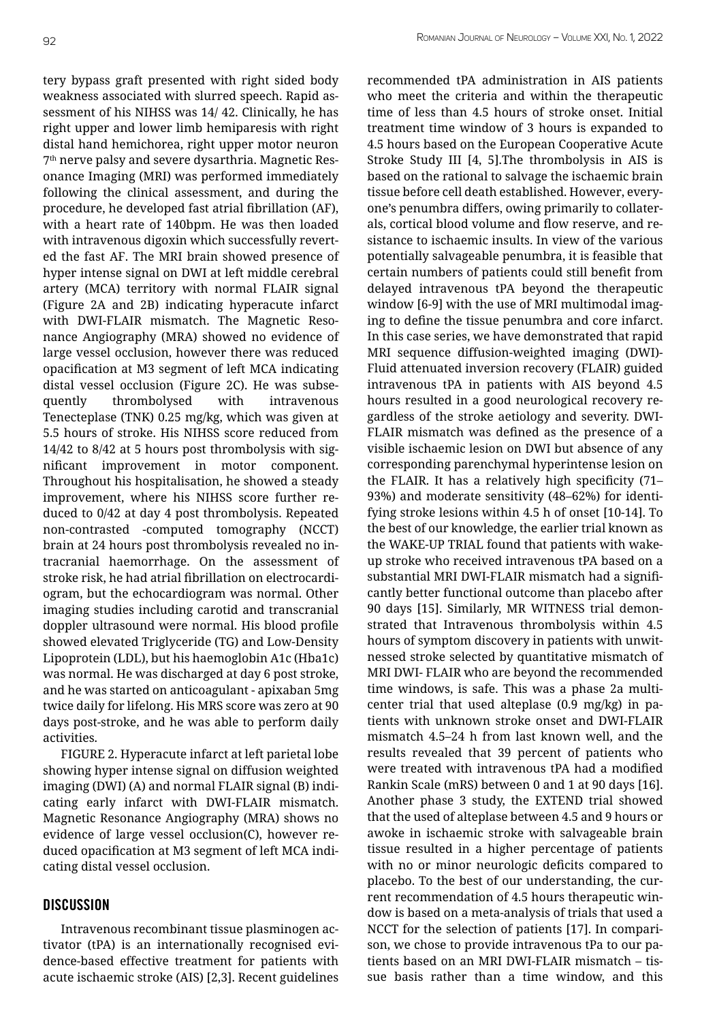tery bypass graft presented with right sided body weakness associated with slurred speech. Rapid assessment of his NIHSS was 14/ 42. Clinically, he has right upper and lower limb hemiparesis with right distal hand hemichorea, right upper motor neuron 7<sup>th</sup> nerve palsy and severe dysarthria. Magnetic Resonance Imaging (MRI) was performed immediately following the clinical assessment, and during the procedure, he developed fast atrial fibrillation (AF), with a heart rate of 140bpm. He was then loaded with intravenous digoxin which successfully reverted the fast AF. The MRI brain showed presence of hyper intense signal on DWI at left middle cerebral artery (MCA) territory with normal FLAIR signal (Figure 2A and 2B) indicating hyperacute infarct with DWI-FLAIR mismatch. The Magnetic Resonance Angiography (MRA) showed no evidence of large vessel occlusion, however there was reduced opacification at M3 segment of left MCA indicating distal vessel occlusion (Figure 2C). He was subsequently thrombolysed with intravenous Tenecteplase (TNK) 0.25 mg/kg, which was given at 5.5 hours of stroke. His NIHSS score reduced from 14/42 to 8/42 at 5 hours post thrombolysis with significant improvement in motor component. Throughout his hospitalisation, he showed a steady improvement, where his NIHSS score further reduced to 0/42 at day 4 post thrombolysis. Repeated non-contrasted -computed tomography (NCCT) brain at 24 hours post thrombolysis revealed no intracranial haemorrhage. On the assessment of stroke risk, he had atrial fibrillation on electrocardiogram, but the echocardiogram was normal. Other imaging studies including carotid and transcranial doppler ultrasound were normal. His blood profile showed elevated Triglyceride (TG) and Low-Density Lipoprotein (LDL), but his haemoglobin A1c (Hba1c) was normal. He was discharged at day 6 post stroke, and he was started on anticoagulant - apixaban 5mg twice daily for lifelong. His MRS score was zero at 90

activities. FIGURE 2. Hyperacute infarct at left parietal lobe showing hyper intense signal on diffusion weighted imaging (DWI) (A) and normal FLAIR signal (B) indicating early infarct with DWI-FLAIR mismatch. Magnetic Resonance Angiography (MRA) shows no evidence of large vessel occlusion(C), however reduced opacification at M3 segment of left MCA indicating distal vessel occlusion.

days post-stroke, and he was able to perform daily

#### **DISCUSSION**

Intravenous recombinant tissue plasminogen activator (tPA) is an internationally recognised evidence-based effective treatment for patients with acute ischaemic stroke (AIS) [2,3]. Recent guidelines

recommended tPA administration in AIS patients who meet the criteria and within the therapeutic time of less than 4.5 hours of stroke onset. Initial treatment time window of 3 hours is expanded to 4.5 hours based on the European Cooperative Acute Stroke Study III [4, 5].The thrombolysis in AIS is based on the rational to salvage the ischaemic brain tissue before cell death established. However, everyone's penumbra differs, owing primarily to collaterals, cortical blood volume and flow reserve, and resistance to ischaemic insults. In view of the various potentially salvageable penumbra, it is feasible that certain numbers of patients could still benefit from delayed intravenous tPA beyond the therapeutic window [6-9] with the use of MRI multimodal imaging to define the tissue penumbra and core infarct. In this case series, we have demonstrated that rapid MRI sequence diffusion-weighted imaging (DWI)- Fluid attenuated inversion recovery (FLAIR) guided intravenous tPA in patients with AIS beyond 4.5 hours resulted in a good neurological recovery regardless of the stroke aetiology and severity. DWI-FLAIR mismatch was defined as the presence of a visible ischaemic lesion on DWI but absence of any corresponding parenchymal hyperintense lesion on the FLAIR. It has a relatively high specificity (71– 93%) and moderate sensitivity (48–62%) for identifying stroke lesions within 4.5 h of onset [10-14]. To the best of our knowledge, the earlier trial known as the WAKE-UP TRIAL found that patients with wakeup stroke who received intravenous tPA based on a substantial MRI DWI-FLAIR mismatch had a significantly better functional outcome than placebo after 90 days [15]. Similarly, MR WITNESS trial demonstrated that Intravenous thrombolysis within 4.5 hours of symptom discovery in patients with unwitnessed stroke selected by quantitative mismatch of MRI DWI- FLAIR who are beyond the recommended time windows, is safe. This was a phase 2a multicenter trial that used alteplase (0.9 mg/kg) in patients with unknown stroke onset and DWI-FLAIR mismatch 4.5–24 h from last known well, and the results revealed that 39 percent of patients who were treated with intravenous tPA had a modified Rankin Scale (mRS) between 0 and 1 at 90 days [16]. Another phase 3 study, the EXTEND trial showed that the used of alteplase between 4.5 and 9 hours or awoke in ischaemic stroke with salvageable brain tissue resulted in a higher percentage of patients with no or minor neurologic deficits compared to placebo. To the best of our understanding, the current recommendation of 4.5 hours therapeutic window is based on a meta-analysis of trials that used a NCCT for the selection of patients [17]. In comparison, we chose to provide intravenous tPa to our patients based on an MRI DWI-FLAIR mismatch – tissue basis rather than a time window, and this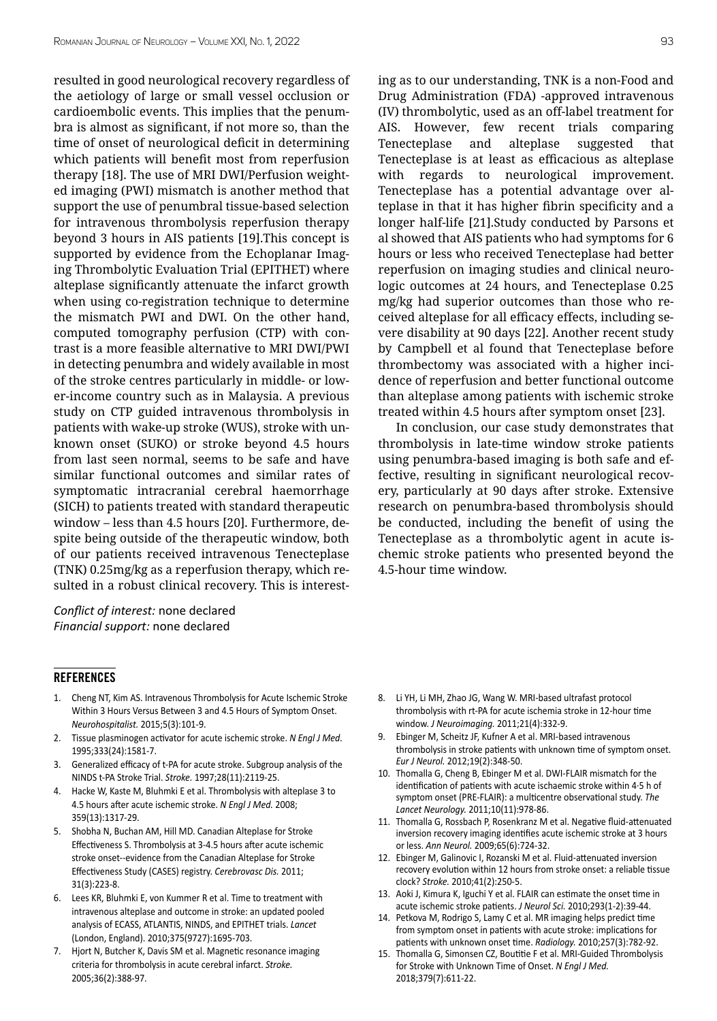resulted in good neurological recovery regardless of the aetiology of large or small vessel occlusion or cardioembolic events. This implies that the penumbra is almost as significant, if not more so, than the time of onset of neurological deficit in determining which patients will benefit most from reperfusion therapy [18]. The use of MRI DWI/Perfusion weighted imaging (PWI) mismatch is another method that support the use of penumbral tissue-based selection for intravenous thrombolysis reperfusion therapy beyond 3 hours in AIS patients [19].This concept is supported by evidence from the Echoplanar Imaging Thrombolytic Evaluation Trial (EPITHET) where alteplase significantly attenuate the infarct growth when using co-registration technique to determine the mismatch PWI and DWI. On the other hand, computed tomography perfusion (CTP) with contrast is a more feasible alternative to MRI DWI/PWI in detecting penumbra and widely available in most of the stroke centres particularly in middle- or lower-income country such as in Malaysia. A previous study on CTP guided intravenous thrombolysis in patients with wake-up stroke (WUS), stroke with unknown onset (SUKO) or stroke beyond 4.5 hours from last seen normal, seems to be safe and have similar functional outcomes and similar rates of symptomatic intracranial cerebral haemorrhage (SICH) to patients treated with standard therapeutic window – less than 4.5 hours [20]. Furthermore, despite being outside of the therapeutic window, both of our patients received intravenous Tenecteplase (TNK) 0.25mg/kg as a reperfusion therapy, which resulted in a robust clinical recovery. This is interest-

*Conflict of interest:* none declared *Financial support:* none declared

#### **REFERENCES**

- 1. Cheng NT, Kim AS. Intravenous Thrombolysis for Acute Ischemic Stroke Within 3 Hours Versus Between 3 and 4.5 Hours of Symptom Onset. *Neurohospitalist.* 2015;5(3):101-9.
- 2. Tissue plasminogen activator for acute ischemic stroke. *N Engl J Med.* 1995;333(24):1581-7.
- 3. Generalized efficacy of t-PA for acute stroke. Subgroup analysis of the NINDS t-PA Stroke Trial. *Stroke.* 1997;28(11):2119-25.
- 4. Hacke W, Kaste M, Bluhmki E et al. Thrombolysis with alteplase 3 to 4.5 hours after acute ischemic stroke. *N Engl J Med.* 2008; 359(13):1317-29.
- 5. Shobha N, Buchan AM, Hill MD. Canadian Alteplase for Stroke Effectiveness S. Thrombolysis at 3-4.5 hours after acute ischemic stroke onset--evidence from the Canadian Alteplase for Stroke Effectiveness Study (CASES) registry. *Cerebrovasc Dis.* 2011; 31(3):223-8.
- 6. Lees KR, Bluhmki E, von Kummer R et al. Time to treatment with intravenous alteplase and outcome in stroke: an updated pooled analysis of ECASS, ATLANTIS, NINDS, and EPITHET trials. *Lancet*  (London, England). 2010;375(9727):1695-703.
- 7. Hjort N, Butcher K, Davis SM et al. Magnetic resonance imaging criteria for thrombolysis in acute cerebral infarct. *Stroke.*  2005;36(2):388-97.

ing as to our understanding, TNK is a non-Food and Drug Administration (FDA) -approved intravenous (IV) thrombolytic, used as an off-label treatment for AIS. However, few recent trials comparing Tenecteplase and alteplase suggested that Tenecteplase is at least as efficacious as alteplase with regards to neurological improvement. Tenecteplase has a potential advantage over alteplase in that it has higher fibrin specificity and a longer half-life [21].Study conducted by Parsons et al showed that AIS patients who had symptoms for 6 hours or less who received Tenecteplase had better reperfusion on imaging studies and clinical neurologic outcomes at 24 hours, and Tenecteplase 0.25 mg/kg had superior outcomes than those who received alteplase for all efficacy effects, including severe disability at 90 days [22]. Another recent study by Campbell et al found that Tenecteplase before thrombectomy was associated with a higher incidence of reperfusion and better functional outcome than alteplase among patients with ischemic stroke treated within 4.5 hours after symptom onset [23].

In conclusion, our case study demonstrates that thrombolysis in late-time window stroke patients using penumbra-based imaging is both safe and effective, resulting in significant neurological recovery, particularly at 90 days after stroke. Extensive research on penumbra-based thrombolysis should be conducted, including the benefit of using the Tenecteplase as a thrombolytic agent in acute ischemic stroke patients who presented beyond the 4.5-hour time window.

- 8. Li YH, Li MH, Zhao JG, Wang W. MRI-based ultrafast protocol thrombolysis with rt-PA for acute ischemia stroke in 12-hour time window. *J Neuroimaging.* 2011;21(4):332-9.
- 9. Ebinger M, Scheitz JF, Kufner A et al. MRI-based intravenous thrombolysis in stroke patients with unknown time of symptom onset. *Eur J Neurol.* 2012;19(2):348-50.
- 10. Thomalla G, Cheng B, Ebinger M et al. DWI-FLAIR mismatch for the identification of patients with acute ischaemic stroke within 4·5 h of symptom onset (PRE-FLAIR): a multicentre observational study. *The Lancet Neurology.* 2011;10(11):978-86.
- 11. Thomalla G, Rossbach P, Rosenkranz M et al. Negative fluid-attenuated inversion recovery imaging identifies acute ischemic stroke at 3 hours or less. *Ann Neurol.* 2009;65(6):724-32.
- 12. Ebinger M, Galinovic I, Rozanski M et al. Fluid-attenuated inversion recovery evolution within 12 hours from stroke onset: a reliable tissue clock? *Stroke.* 2010;41(2):250-5.
- 13. Aoki J, Kimura K, Iguchi Y et al. FLAIR can estimate the onset time in acute ischemic stroke patients. *J Neurol Sci.* 2010;293(1-2):39-44.
- 14. Petkova M, Rodrigo S, Lamy C et al. MR imaging helps predict time from symptom onset in patients with acute stroke: implications for patients with unknown onset time. *Radiology.* 2010;257(3):782-92.
- 15. Thomalla G, Simonsen CZ, Boutitie F et al. MRI-Guided Thrombolysis for Stroke with Unknown Time of Onset. *N Engl J Med.*  2018;379(7):611-22.